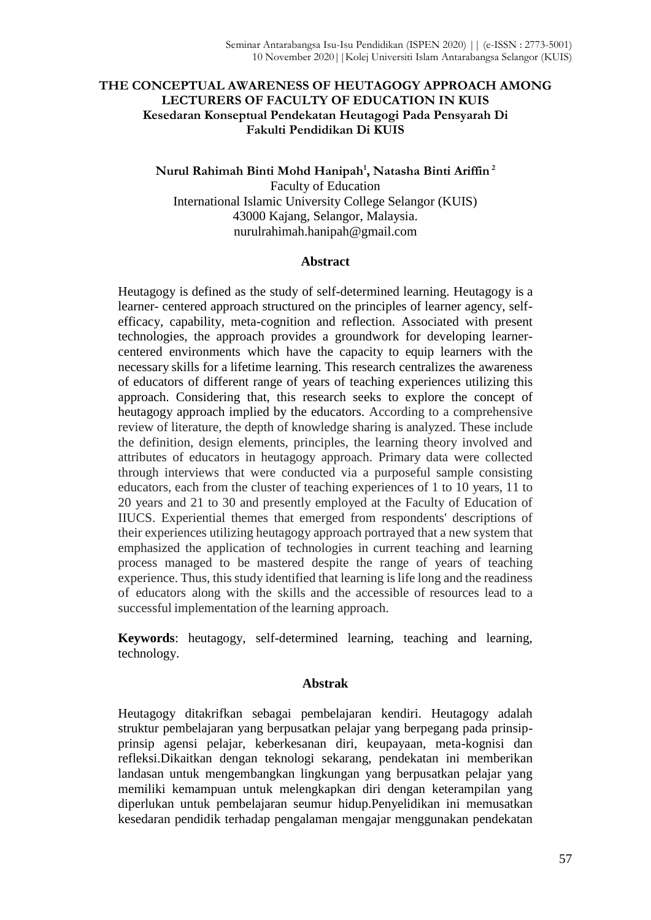# **THE CONCEPTUAL AWARENESS OF HEUTAGOGY APPROACH AMONG LECTURERS OF FACULTY OF EDUCATION IN KUIS Kesedaran Konseptual Pendekatan Heutagogi Pada Pensyarah Di Fakulti Pendidikan Di KUIS**

**Nurul Rahimah Binti Mohd Hanipah<sup>1</sup> , Natasha Binti Ariffin <sup>2</sup>** Faculty of Education International Islamic University College Selangor (KUIS) 43000 Kajang, Selangor, Malaysia. nurulrahimah.hanipah@gmail.com

## **Abstract**

Heutagogy is defined as the study of self-determined learning. Heutagogy is a learner- centered approach structured on the principles of learner agency, selfefficacy, capability, meta-cognition and reflection. Associated with present technologies, the approach provides a groundwork for developing learnercentered environments which have the capacity to equip learners with the necessary skills for a lifetime learning. This research centralizes the awareness of educators of different range of years of teaching experiences utilizing this approach. Considering that, this research seeks to explore the concept of heutagogy approach implied by the educators. According to a comprehensive review of literature, the depth of knowledge sharing is analyzed. These include the definition, design elements, principles, the learning theory involved and attributes of educators in heutagogy approach. Primary data were collected through interviews that were conducted via a purposeful sample consisting educators, each from the cluster of teaching experiences of 1 to 10 years, 11 to 20 years and 21 to 30 and presently employed at the Faculty of Education of IIUCS. Experiential themes that emerged from respondents' descriptions of their experiences utilizing heutagogy approach portrayed that a new system that emphasized the application of technologies in current teaching and learning process managed to be mastered despite the range of years of teaching experience. Thus, this study identified that learning is life long and the readiness of educators along with the skills and the accessible of resources lead to a successful implementation of the learning approach.

**Keywords**: heutagogy, self-determined learning, teaching and learning, technology.

# **Abstrak**

Heutagogy ditakrifkan sebagai pembelajaran kendiri. Heutagogy adalah struktur pembelajaran yang berpusatkan pelajar yang berpegang pada prinsipprinsip agensi pelajar, keberkesanan diri, keupayaan, meta-kognisi dan refleksi.Dikaitkan dengan teknologi sekarang, pendekatan ini memberikan landasan untuk mengembangkan lingkungan yang berpusatkan pelajar yang memiliki kemampuan untuk melengkapkan diri dengan keterampilan yang diperlukan untuk pembelajaran seumur hidup.Penyelidikan ini memusatkan kesedaran pendidik terhadap pengalaman mengajar menggunakan pendekatan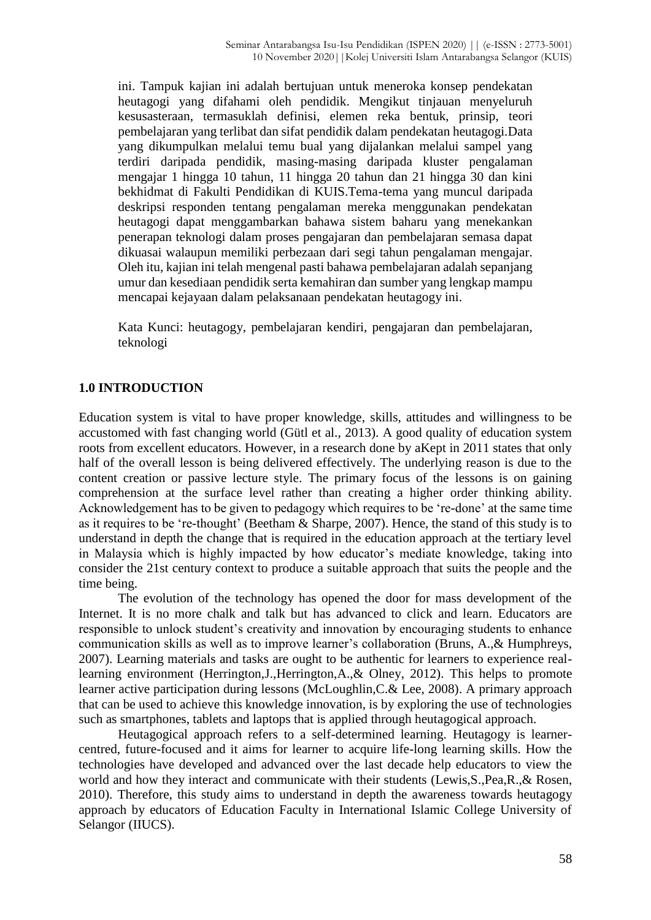ini. Tampuk kajian ini adalah bertujuan untuk meneroka konsep pendekatan heutagogi yang difahami oleh pendidik. Mengikut tinjauan menyeluruh kesusasteraan, termasuklah definisi, elemen reka bentuk, prinsip, teori pembelajaran yang terlibat dan sifat pendidik dalam pendekatan heutagogi.Data yang dikumpulkan melalui temu bual yang dijalankan melalui sampel yang terdiri daripada pendidik, masing-masing daripada kluster pengalaman mengajar 1 hingga 10 tahun, 11 hingga 20 tahun dan 21 hingga 30 dan kini bekhidmat di Fakulti Pendidikan di KUIS.Tema-tema yang muncul daripada deskripsi responden tentang pengalaman mereka menggunakan pendekatan heutagogi dapat menggambarkan bahawa sistem baharu yang menekankan penerapan teknologi dalam proses pengajaran dan pembelajaran semasa dapat dikuasai walaupun memiliki perbezaan dari segi tahun pengalaman mengajar. Oleh itu, kajian ini telah mengenal pasti bahawa pembelajaran adalah sepanjang umur dan kesediaan pendidik serta kemahiran dan sumber yang lengkap mampu mencapai kejayaan dalam pelaksanaan pendekatan heutagogy ini.

Kata Kunci: heutagogy, pembelajaran kendiri, pengajaran dan pembelajaran, teknologi

# **1.0 INTRODUCTION**

Education system is vital to have proper knowledge, skills, attitudes and willingness to be accustomed with fast changing world (Gütl et al., 2013). A good quality of education system roots from excellent educators. However, in a research done by aKept in 2011 states that only half of the overall lesson is being delivered effectively. The underlying reason is due to the content creation or passive lecture style. The primary focus of the lessons is on gaining comprehension at the surface level rather than creating a higher order thinking ability. Acknowledgement has to be given to pedagogy which requires to be 're-done' at the same time as it requires to be 're-thought' (Beetham & Sharpe, 2007). Hence, the stand of this study is to understand in depth the change that is required in the education approach at the tertiary level in Malaysia which is highly impacted by how educator's mediate knowledge, taking into consider the 21st century context to produce a suitable approach that suits the people and the time being.

The evolution of the technology has opened the door for mass development of the Internet. It is no more chalk and talk but has advanced to click and learn. Educators are responsible to unlock student's creativity and innovation by encouraging students to enhance communication skills as well as to improve learner's collaboration (Bruns, A.,& Humphreys, 2007). Learning materials and tasks are ought to be authentic for learners to experience reallearning environment (Herrington,J.,Herrington,A.,& Olney, 2012). This helps to promote learner active participation during lessons (McLoughlin,C.& Lee, 2008). A primary approach that can be used to achieve this knowledge innovation, is by exploring the use of technologies such as smartphones, tablets and laptops that is applied through heutagogical approach.

Heutagogical approach refers to a self-determined learning. Heutagogy is learnercentred, future-focused and it aims for learner to acquire life-long learning skills. How the technologies have developed and advanced over the last decade help educators to view the world and how they interact and communicate with their students (Lewis,S.,Pea,R.,& Rosen, 2010). Therefore, this study aims to understand in depth the awareness towards heutagogy approach by educators of Education Faculty in International Islamic College University of Selangor (IIUCS).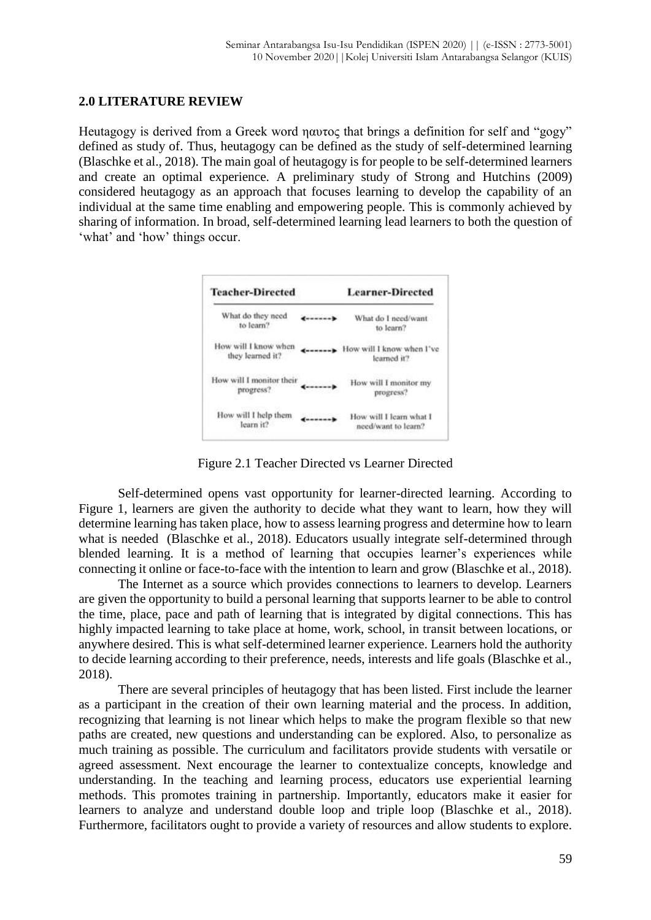### **2.0 LITERATURE REVIEW**

Heutagogy is derived from a Greek word ηαυτος that brings a definition for self and "gogy" defined as study of. Thus, heutagogy can be defined as the study of self-determined learning (Blaschke et al., 2018). The main goal of heutagogy is for people to be self-determined learners and create an optimal experience. A preliminary study of Strong and Hutchins (2009) considered heutagogy as an approach that focuses learning to develop the capability of an individual at the same time enabling and empowering people. This is commonly achieved by sharing of information. In broad, self-determined learning lead learners to both the question of 'what' and 'how' things occur.

| <b>Teacher-Directed</b>                  |         | <b>Learner-Directed</b>                        |
|------------------------------------------|---------|------------------------------------------------|
| What do they need<br>to learn?           |         | What do I need/want<br>to learn?               |
| How will I know when<br>they learned it? | ------- | How will I know when I've<br>learned it?       |
| How will I monitor their<br>progress?    | ------  | How will I monitor my<br>progress?             |
| How will I help them<br>learn it?        |         | How will I learn what I<br>need/want to learn? |

Figure 2.1 Teacher Directed vs Learner Directed

Self-determined opens vast opportunity for learner-directed learning. According to Figure 1, learners are given the authority to decide what they want to learn, how they will determine learning has taken place, how to assess learning progress and determine how to learn what is needed (Blaschke et al., 2018). Educators usually integrate self-determined through blended learning. It is a method of learning that occupies learner's experiences while connecting it online or face-to-face with the intention to learn and grow (Blaschke et al., 2018).

The Internet as a source which provides connections to learners to develop. Learners are given the opportunity to build a personal learning that supports learner to be able to control the time, place, pace and path of learning that is integrated by digital connections. This has highly impacted learning to take place at home, work, school, in transit between locations, or anywhere desired. This is what self-determined learner experience. Learners hold the authority to decide learning according to their preference, needs, interests and life goals (Blaschke et al., 2018).

There are several principles of heutagogy that has been listed. First include the learner as a participant in the creation of their own learning material and the process. In addition, recognizing that learning is not linear which helps to make the program flexible so that new paths are created, new questions and understanding can be explored. Also, to personalize as much training as possible. The curriculum and facilitators provide students with versatile or agreed assessment. Next encourage the learner to contextualize concepts, knowledge and understanding. In the teaching and learning process, educators use experiential learning methods. This promotes training in partnership. Importantly, educators make it easier for learners to analyze and understand double loop and triple loop (Blaschke et al., 2018). Furthermore, facilitators ought to provide a variety of resources and allow students to explore.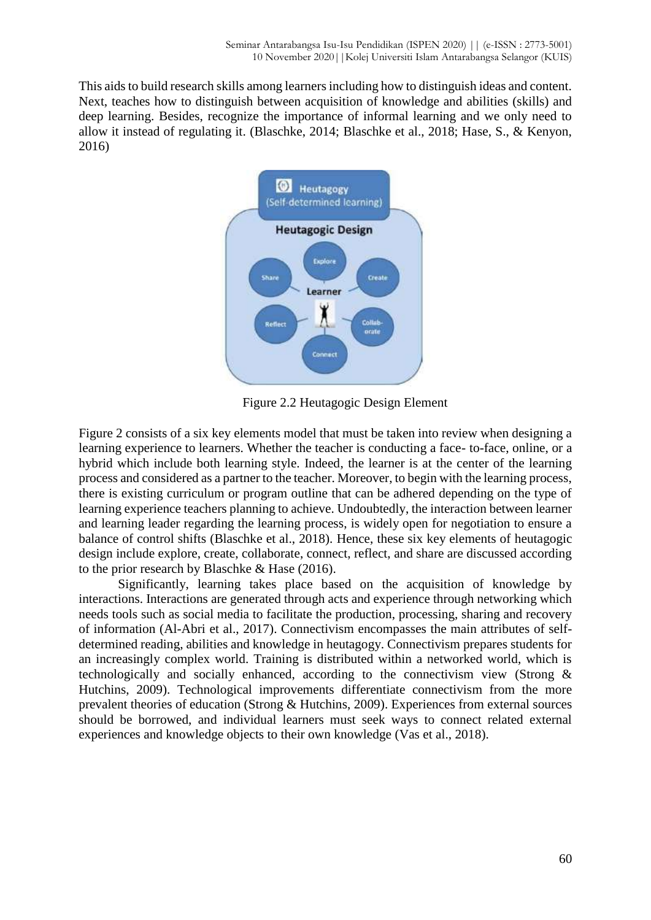This aids to build research skills among learners including how to distinguish ideas and content. Next, teaches how to distinguish between acquisition of knowledge and abilities (skills) and deep learning. Besides, recognize the importance of informal learning and we only need to allow it instead of regulating it. (Blaschke, 2014; Blaschke et al., 2018; Hase, S., & Kenyon, 2016)



Figure 2.2 Heutagogic Design Element

Figure 2 consists of a six key elements model that must be taken into review when designing a learning experience to learners. Whether the teacher is conducting a face- to-face, online, or a hybrid which include both learning style. Indeed, the learner is at the center of the learning process and considered as a partner to the teacher. Moreover, to begin with the learning process, there is existing curriculum or program outline that can be adhered depending on the type of learning experience teachers planning to achieve. Undoubtedly, the interaction between learner and learning leader regarding the learning process, is widely open for negotiation to ensure a balance of control shifts (Blaschke et al., 2018). Hence, these six key elements of heutagogic design include explore, create, collaborate, connect, reflect, and share are discussed according to the prior research by Blaschke & Hase (2016).

Significantly, learning takes place based on the acquisition of knowledge by interactions. Interactions are generated through acts and experience through networking which needs tools such as social media to facilitate the production, processing, sharing and recovery of information (Al-Abri et al., 2017). Connectivism encompasses the main attributes of selfdetermined reading, abilities and knowledge in heutagogy. Connectivism prepares students for an increasingly complex world. Training is distributed within a networked world, which is technologically and socially enhanced, according to the connectivism view (Strong & Hutchins, 2009). Technological improvements differentiate connectivism from the more prevalent theories of education (Strong & Hutchins, 2009). Experiences from external sources should be borrowed, and individual learners must seek ways to connect related external experiences and knowledge objects to their own knowledge (Vas et al., 2018).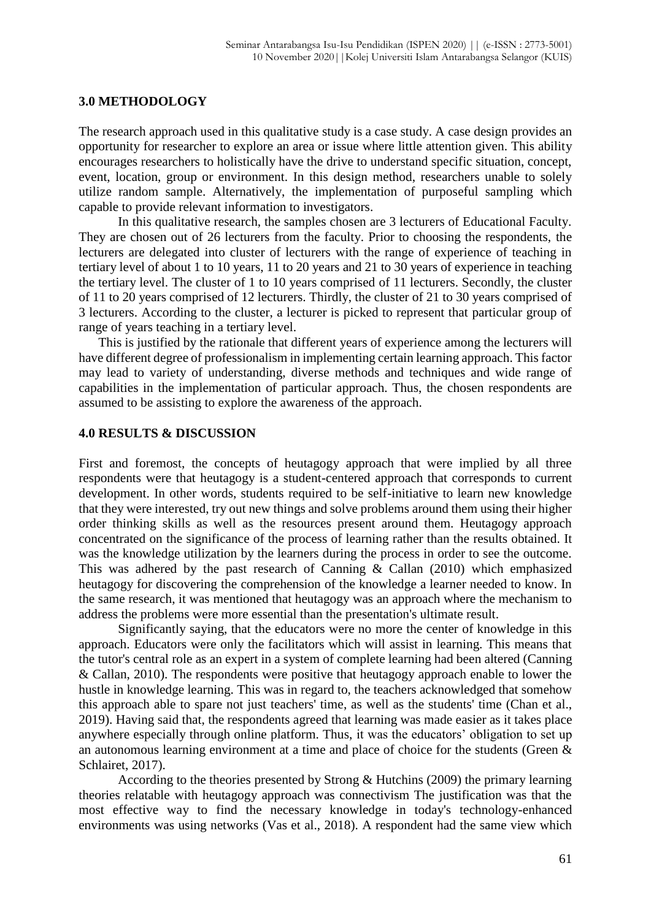#### **3.0 METHODOLOGY**

The research approach used in this qualitative study is a case study. A case design provides an opportunity for researcher to explore an area or issue where little attention given. This ability encourages researchers to holistically have the drive to understand specific situation, concept, event, location, group or environment. In this design method, researchers unable to solely utilize random sample. Alternatively, the implementation of purposeful sampling which capable to provide relevant information to investigators.

In this qualitative research, the samples chosen are 3 lecturers of Educational Faculty. They are chosen out of 26 lecturers from the faculty. Prior to choosing the respondents, the lecturers are delegated into cluster of lecturers with the range of experience of teaching in tertiary level of about 1 to 10 years, 11 to 20 years and 21 to 30 years of experience in teaching the tertiary level. The cluster of 1 to 10 years comprised of 11 lecturers. Secondly, the cluster of 11 to 20 years comprised of 12 lecturers. Thirdly, the cluster of 21 to 30 years comprised of 3 lecturers. According to the cluster, a lecturer is picked to represent that particular group of range of years teaching in a tertiary level.

This is justified by the rationale that different years of experience among the lecturers will have different degree of professionalism in implementing certain learning approach. This factor may lead to variety of understanding, diverse methods and techniques and wide range of capabilities in the implementation of particular approach. Thus, the chosen respondents are assumed to be assisting to explore the awareness of the approach.

#### **4.0 RESULTS & DISCUSSION**

First and foremost, the concepts of heutagogy approach that were implied by all three respondents were that heutagogy is a student-centered approach that corresponds to current development. In other words, students required to be self-initiative to learn new knowledge that they were interested, try out new things and solve problems around them using their higher order thinking skills as well as the resources present around them. Heutagogy approach concentrated on the significance of the process of learning rather than the results obtained. It was the knowledge utilization by the learners during the process in order to see the outcome. This was adhered by the past research of Canning & Callan (2010) which emphasized heutagogy for discovering the comprehension of the knowledge a learner needed to know. In the same research, it was mentioned that heutagogy was an approach where the mechanism to address the problems were more essential than the presentation's ultimate result.

Significantly saying, that the educators were no more the center of knowledge in this approach. Educators were only the facilitators which will assist in learning. This means that the tutor's central role as an expert in a system of complete learning had been altered (Canning & Callan, 2010). The respondents were positive that heutagogy approach enable to lower the hustle in knowledge learning. This was in regard to, the teachers acknowledged that somehow this approach able to spare not just teachers' time, as well as the students' time (Chan et al., 2019). Having said that, the respondents agreed that learning was made easier as it takes place anywhere especially through online platform. Thus, it was the educators' obligation to set up an autonomous learning environment at a time and place of choice for the students (Green & Schlairet, 2017).

According to the theories presented by Strong & Hutchins (2009) the primary learning theories relatable with heutagogy approach was connectivism The justification was that the most effective way to find the necessary knowledge in today's technology-enhanced environments was using networks (Vas et al., 2018). A respondent had the same view which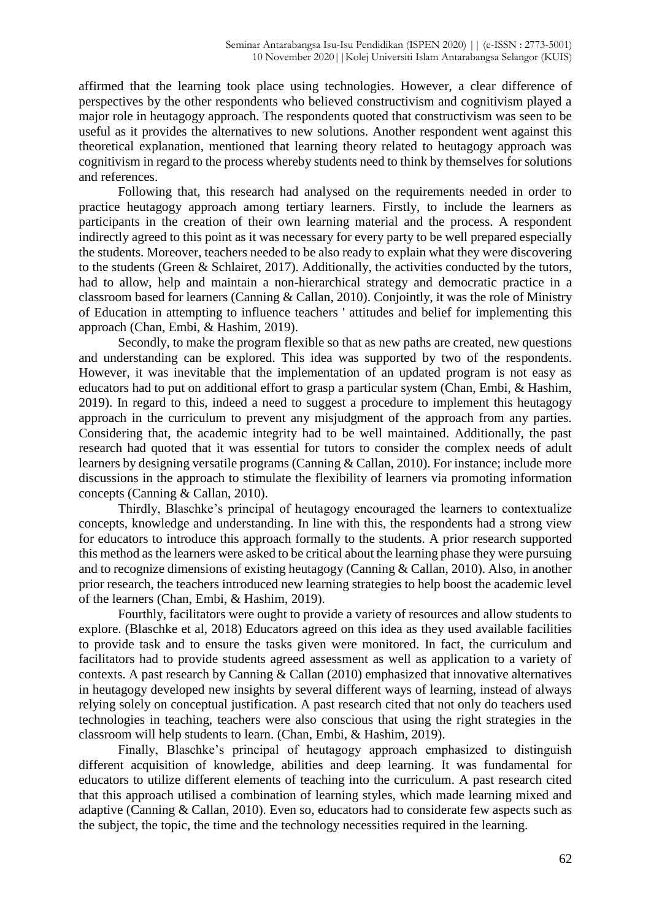affirmed that the learning took place using technologies. However, a clear difference of perspectives by the other respondents who believed constructivism and cognitivism played a major role in heutagogy approach. The respondents quoted that constructivism was seen to be useful as it provides the alternatives to new solutions. Another respondent went against this theoretical explanation, mentioned that learning theory related to heutagogy approach was cognitivism in regard to the process whereby students need to think by themselves for solutions and references.

Following that, this research had analysed on the requirements needed in order to practice heutagogy approach among tertiary learners. Firstly, to include the learners as participants in the creation of their own learning material and the process. A respondent indirectly agreed to this point as it was necessary for every party to be well prepared especially the students. Moreover, teachers needed to be also ready to explain what they were discovering to the students (Green & Schlairet, 2017). Additionally, the activities conducted by the tutors, had to allow, help and maintain a non-hierarchical strategy and democratic practice in a classroom based for learners (Canning & Callan, 2010). Conjointly, it was the role of Ministry of Education in attempting to influence teachers ' attitudes and belief for implementing this approach (Chan, Embi, & Hashim, 2019).

Secondly, to make the program flexible so that as new paths are created, new questions and understanding can be explored. This idea was supported by two of the respondents. However, it was inevitable that the implementation of an updated program is not easy as educators had to put on additional effort to grasp a particular system (Chan, Embi, & Hashim, 2019). In regard to this, indeed a need to suggest a procedure to implement this heutagogy approach in the curriculum to prevent any misjudgment of the approach from any parties. Considering that, the academic integrity had to be well maintained. Additionally, the past research had quoted that it was essential for tutors to consider the complex needs of adult learners by designing versatile programs (Canning & Callan, 2010). For instance; include more discussions in the approach to stimulate the flexibility of learners via promoting information concepts (Canning & Callan, 2010).

Thirdly, Blaschke's principal of heutagogy encouraged the learners to contextualize concepts, knowledge and understanding. In line with this, the respondents had a strong view for educators to introduce this approach formally to the students. A prior research supported this method as the learners were asked to be critical about the learning phase they were pursuing and to recognize dimensions of existing heutagogy (Canning & Callan, 2010). Also, in another prior research, the teachers introduced new learning strategies to help boost the academic level of the learners (Chan, Embi, & Hashim, 2019).

Fourthly, facilitators were ought to provide a variety of resources and allow students to explore. (Blaschke et al, 2018) Educators agreed on this idea as they used available facilities to provide task and to ensure the tasks given were monitored. In fact, the curriculum and facilitators had to provide students agreed assessment as well as application to a variety of contexts. A past research by Canning & Callan (2010) emphasized that innovative alternatives in heutagogy developed new insights by several different ways of learning, instead of always relying solely on conceptual justification. A past research cited that not only do teachers used technologies in teaching, teachers were also conscious that using the right strategies in the classroom will help students to learn. (Chan, Embi, & Hashim, 2019).

Finally, Blaschke's principal of heutagogy approach emphasized to distinguish different acquisition of knowledge, abilities and deep learning. It was fundamental for educators to utilize different elements of teaching into the curriculum. A past research cited that this approach utilised a combination of learning styles, which made learning mixed and adaptive (Canning & Callan, 2010). Even so, educators had to considerate few aspects such as the subject, the topic, the time and the technology necessities required in the learning.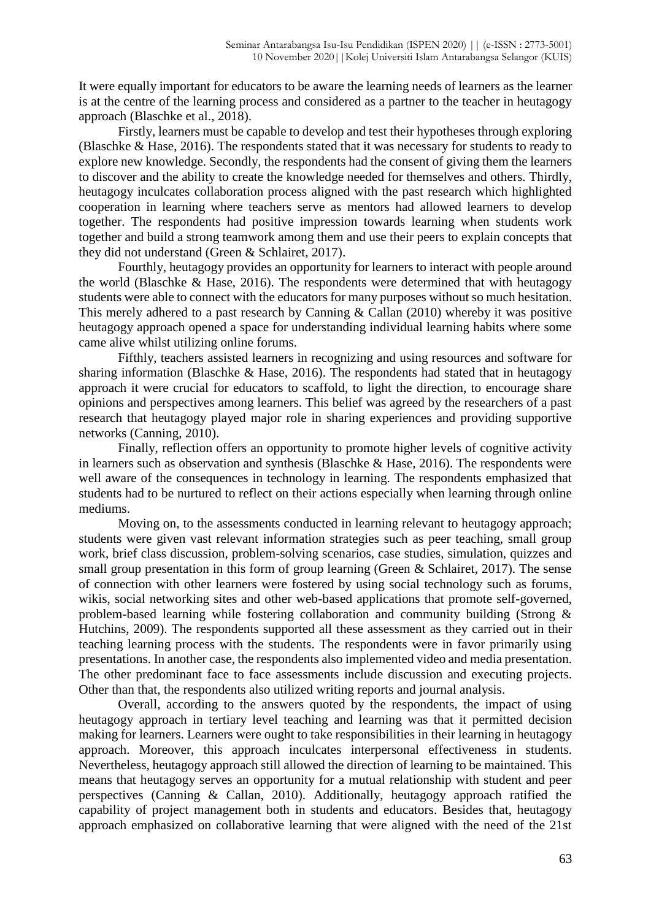It were equally important for educators to be aware the learning needs of learners as the learner is at the centre of the learning process and considered as a partner to the teacher in heutagogy approach (Blaschke et al., 2018).

Firstly, learners must be capable to develop and test their hypotheses through exploring (Blaschke & Hase, 2016). The respondents stated that it was necessary for students to ready to explore new knowledge. Secondly, the respondents had the consent of giving them the learners to discover and the ability to create the knowledge needed for themselves and others. Thirdly, heutagogy inculcates collaboration process aligned with the past research which highlighted cooperation in learning where teachers serve as mentors had allowed learners to develop together. The respondents had positive impression towards learning when students work together and build a strong teamwork among them and use their peers to explain concepts that they did not understand (Green & Schlairet, 2017).

Fourthly, heutagogy provides an opportunity for learners to interact with people around the world (Blaschke & Hase, 2016). The respondents were determined that with heutagogy students were able to connect with the educators for many purposes without so much hesitation. This merely adhered to a past research by Canning & Callan (2010) whereby it was positive heutagogy approach opened a space for understanding individual learning habits where some came alive whilst utilizing online forums.

Fifthly, teachers assisted learners in recognizing and using resources and software for sharing information (Blaschke & Hase, 2016). The respondents had stated that in heutagogy approach it were crucial for educators to scaffold, to light the direction, to encourage share opinions and perspectives among learners. This belief was agreed by the researchers of a past research that heutagogy played major role in sharing experiences and providing supportive networks (Canning, 2010).

Finally, reflection offers an opportunity to promote higher levels of cognitive activity in learners such as observation and synthesis (Blaschke & Hase, 2016). The respondents were well aware of the consequences in technology in learning. The respondents emphasized that students had to be nurtured to reflect on their actions especially when learning through online mediums.

Moving on, to the assessments conducted in learning relevant to heutagogy approach; students were given vast relevant information strategies such as peer teaching, small group work, brief class discussion, problem-solving scenarios, case studies, simulation, quizzes and small group presentation in this form of group learning (Green & Schlairet, 2017). The sense of connection with other learners were fostered by using social technology such as forums, wikis, social networking sites and other web-based applications that promote self-governed, problem-based learning while fostering collaboration and community building (Strong & Hutchins, 2009). The respondents supported all these assessment as they carried out in their teaching learning process with the students. The respondents were in favor primarily using presentations. In another case, the respondents also implemented video and media presentation. The other predominant face to face assessments include discussion and executing projects. Other than that, the respondents also utilized writing reports and journal analysis.

Overall, according to the answers quoted by the respondents, the impact of using heutagogy approach in tertiary level teaching and learning was that it permitted decision making for learners. Learners were ought to take responsibilities in their learning in heutagogy approach. Moreover, this approach inculcates interpersonal effectiveness in students. Nevertheless, heutagogy approach still allowed the direction of learning to be maintained. This means that heutagogy serves an opportunity for a mutual relationship with student and peer perspectives (Canning & Callan, 2010). Additionally, heutagogy approach ratified the capability of project management both in students and educators. Besides that, heutagogy approach emphasized on collaborative learning that were aligned with the need of the 21st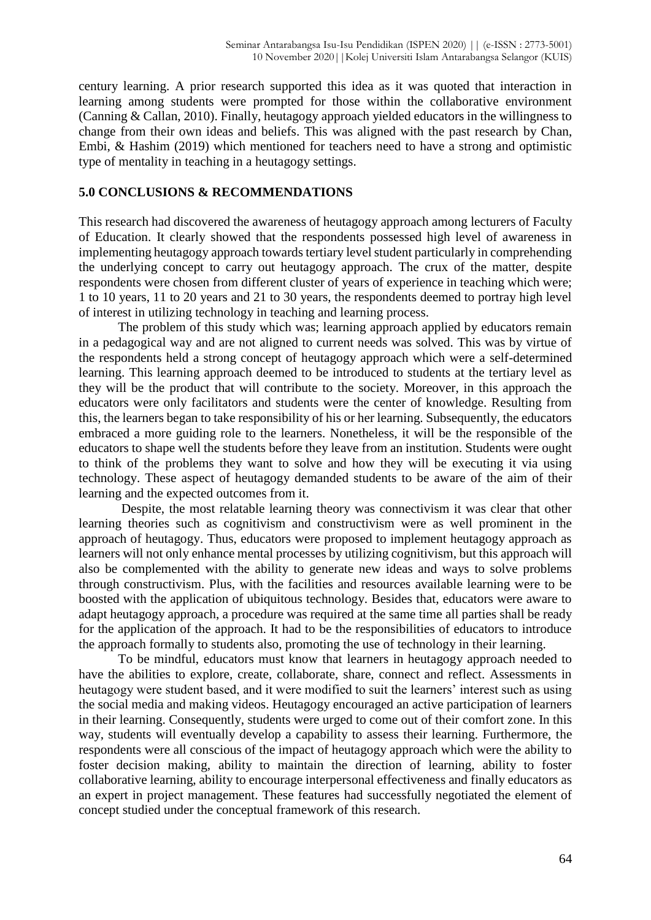century learning. A prior research supported this idea as it was quoted that interaction in learning among students were prompted for those within the collaborative environment (Canning & Callan, 2010). Finally, heutagogy approach yielded educators in the willingness to change from their own ideas and beliefs. This was aligned with the past research by Chan, Embi, & Hashim (2019) which mentioned for teachers need to have a strong and optimistic type of mentality in teaching in a heutagogy settings.

# **5.0 CONCLUSIONS & RECOMMENDATIONS**

This research had discovered the awareness of heutagogy approach among lecturers of Faculty of Education. It clearly showed that the respondents possessed high level of awareness in implementing heutagogy approach towards tertiary level student particularly in comprehending the underlying concept to carry out heutagogy approach. The crux of the matter, despite respondents were chosen from different cluster of years of experience in teaching which were; 1 to 10 years, 11 to 20 years and 21 to 30 years, the respondents deemed to portray high level of interest in utilizing technology in teaching and learning process.

The problem of this study which was; learning approach applied by educators remain in a pedagogical way and are not aligned to current needs was solved. This was by virtue of the respondents held a strong concept of heutagogy approach which were a self-determined learning. This learning approach deemed to be introduced to students at the tertiary level as they will be the product that will contribute to the society. Moreover, in this approach the educators were only facilitators and students were the center of knowledge. Resulting from this, the learners began to take responsibility of his or her learning. Subsequently, the educators embraced a more guiding role to the learners. Nonetheless, it will be the responsible of the educators to shape well the students before they leave from an institution. Students were ought to think of the problems they want to solve and how they will be executing it via using technology. These aspect of heutagogy demanded students to be aware of the aim of their learning and the expected outcomes from it.

Despite, the most relatable learning theory was connectivism it was clear that other learning theories such as cognitivism and constructivism were as well prominent in the approach of heutagogy. Thus, educators were proposed to implement heutagogy approach as learners will not only enhance mental processes by utilizing cognitivism, but this approach will also be complemented with the ability to generate new ideas and ways to solve problems through constructivism. Plus, with the facilities and resources available learning were to be boosted with the application of ubiquitous technology. Besides that, educators were aware to adapt heutagogy approach, a procedure was required at the same time all parties shall be ready for the application of the approach. It had to be the responsibilities of educators to introduce the approach formally to students also, promoting the use of technology in their learning.

To be mindful, educators must know that learners in heutagogy approach needed to have the abilities to explore, create, collaborate, share, connect and reflect. Assessments in heutagogy were student based, and it were modified to suit the learners' interest such as using the social media and making videos. Heutagogy encouraged an active participation of learners in their learning. Consequently, students were urged to come out of their comfort zone. In this way, students will eventually develop a capability to assess their learning. Furthermore, the respondents were all conscious of the impact of heutagogy approach which were the ability to foster decision making, ability to maintain the direction of learning, ability to foster collaborative learning, ability to encourage interpersonal effectiveness and finally educators as an expert in project management. These features had successfully negotiated the element of concept studied under the conceptual framework of this research.